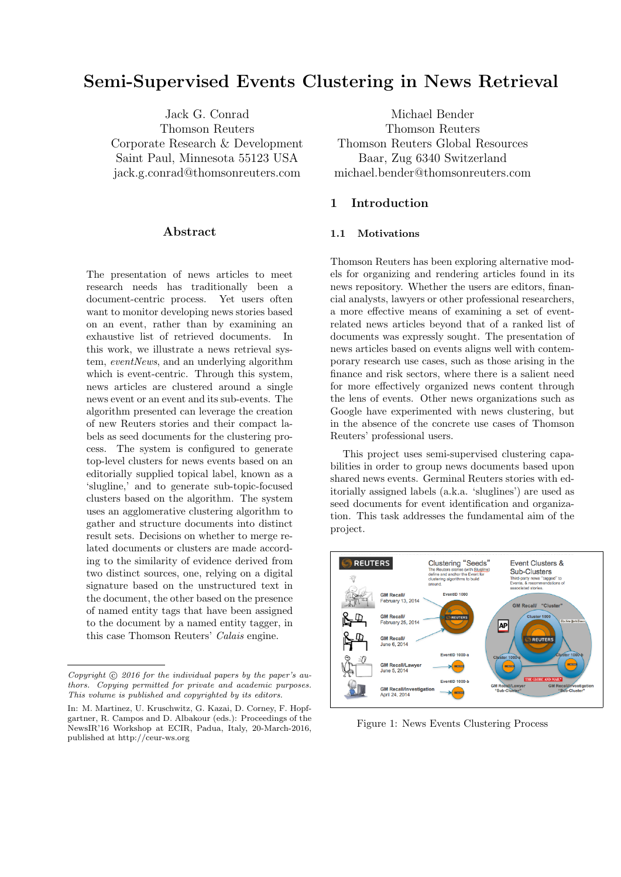# Semi-Supervised Events Clustering in News Retrieval

Jack G. Conrad Thomson Reuters Corporate Research & Development Saint Paul, Minnesota 55123 USA jack.g.conrad@thomsonreuters.com

### Abstract

The presentation of news articles to meet research needs has traditionally been a document-centric process. Yet users often want to monitor developing news stories based on an event, rather than by examining an exhaustive list of retrieved documents. In this work, we illustrate a news retrieval system, eventNews, and an underlying algorithm which is event-centric. Through this system, news articles are clustered around a single news event or an event and its sub-events. The algorithm presented can leverage the creation of new Reuters stories and their compact labels as seed documents for the clustering process. The system is configured to generate top-level clusters for news events based on an editorially supplied topical label, known as a 'slugline,' and to generate sub-topic-focused clusters based on the algorithm. The system uses an agglomerative clustering algorithm to gather and structure documents into distinct result sets. Decisions on whether to merge related documents or clusters are made according to the similarity of evidence derived from two distinct sources, one, relying on a digital signature based on the unstructured text in the document, the other based on the presence of named entity tags that have been assigned to the document by a named entity tagger, in this case Thomson Reuters' Calais engine.

Michael Bender Thomson Reuters Thomson Reuters Global Resources Baar, Zug 6340 Switzerland michael.bender@thomsonreuters.com

# 1 Introduction

#### 1.1 Motivations

Thomson Reuters has been exploring alternative models for organizing and rendering articles found in its news repository. Whether the users are editors, financial analysts, lawyers or other professional researchers, a more effective means of examining a set of eventrelated news articles beyond that of a ranked list of documents was expressly sought. The presentation of news articles based on events aligns well with contemporary research use cases, such as those arising in the finance and risk sectors, where there is a salient need for more effectively organized news content through the lens of events. Other news organizations such as Google have experimented with news clustering, but in the absence of the concrete use cases of Thomson Reuters' professional users.

This project uses semi-supervised clustering capabilities in order to group news documents based upon shared news events. Germinal Reuters stories with editorially assigned labels (a.k.a. 'sluglines') are used as seed documents for event identification and organization. This task addresses the fundamental aim of the project.



Figure 1: News Events Clustering Process

Copyright  $\odot$  2016 for the individual papers by the paper's authors. Copying permitted for private and academic purposes. This volume is published and copyrighted by its editors.

In: M. Martinez, U. Kruschwitz, G. Kazai, D. Corney, F. Hopfgartner, R. Campos and D. Albakour (eds.): Proceedings of the NewsIR'16 Workshop at ECIR, Padua, Italy, 20-March-2016, published at http://ceur-ws.org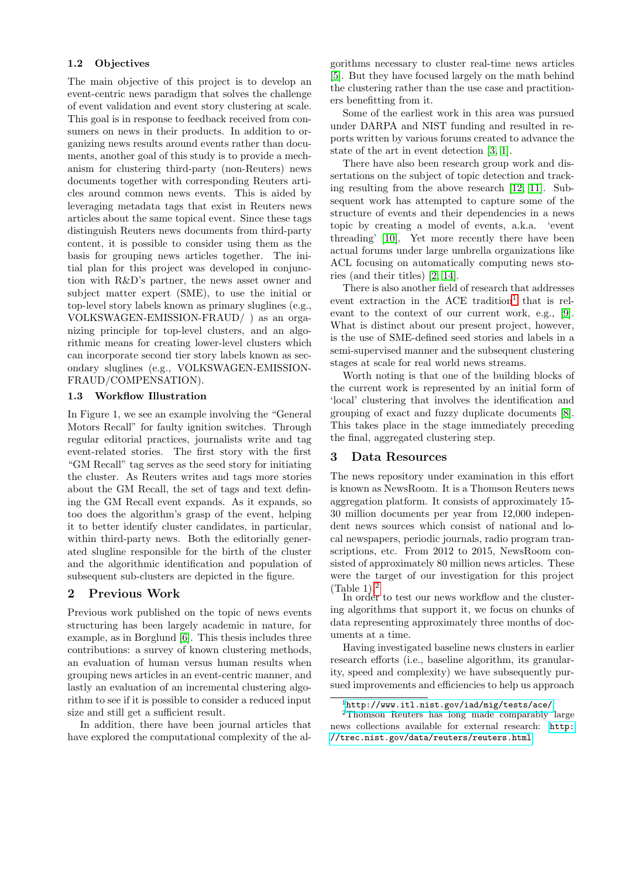#### 1.2 Objectives

The main objective of this project is to develop an event-centric news paradigm that solves the challenge of event validation and event story clustering at scale. This goal is in response to feedback received from consumers on news in their products. In addition to organizing news results around events rather than documents, another goal of this study is to provide a mechanism for clustering third-party (non-Reuters) news documents together with corresponding Reuters articles around common news events. This is aided by leveraging metadata tags that exist in Reuters news articles about the same topical event. Since these tags distinguish Reuters news documents from third-party content, it is possible to consider using them as the basis for grouping news articles together. The initial plan for this project was developed in conjunction with R&D's partner, the news asset owner and subject matter expert (SME), to use the initial or top-level story labels known as primary sluglines (e.g., VOLKSWAGEN-EMISSION-FRAUD/ ) as an organizing principle for top-level clusters, and an algorithmic means for creating lower-level clusters which can incorporate second tier story labels known as secondary sluglines (e.g., VOLKSWAGEN-EMISSION-FRAUD/COMPENSATION).

#### 1.3 Workflow Illustration

In Figure 1, we see an example involving the "General Motors Recall" for faulty ignition switches. Through regular editorial practices, journalists write and tag event-related stories. The first story with the first "GM Recall" tag serves as the seed story for initiating the cluster. As Reuters writes and tags more stories about the GM Recall, the set of tags and text defining the GM Recall event expands. As it expands, so too does the algorithm's grasp of the event, helping it to better identify cluster candidates, in particular, within third-party news. Both the editorially generated slugline responsible for the birth of the cluster and the algorithmic identification and population of subsequent sub-clusters are depicted in the figure.

## 2 Previous Work

Previous work published on the topic of news events structuring has been largely academic in nature, for example, as in Borglund [\[6\]](#page-5-0). This thesis includes three contributions: a survey of known clustering methods, an evaluation of human versus human results when grouping news articles in an event-centric manner, and lastly an evaluation of an incremental clustering algorithm to see if it is possible to consider a reduced input size and still get a sufficient result.

In addition, there have been journal articles that have explored the computational complexity of the al-

gorithms necessary to cluster real-time news articles [\[5\]](#page-5-1). But they have focused largely on the math behind the clustering rather than the use case and practitioners benefitting from it.

Some of the earliest work in this area was pursued under DARPA and NIST funding and resulted in reports written by various forums created to advance the state of the art in event detection [\[3,](#page-5-2) [1\]](#page-5-3).

There have also been research group work and dissertations on the subject of topic detection and tracking resulting from the above research [\[12,](#page-5-4) [11\]](#page-5-5). Subsequent work has attempted to capture some of the structure of events and their dependencies in a news topic by creating a model of events, a.k.a. 'event threading' [\[10\]](#page-5-6). Yet more recently there have been actual forums under large umbrella organizations like ACL focusing on automatically computing news stories (and their titles) [\[2,](#page-5-7) [14\]](#page-5-8).

There is also another field of research that addresses event extraction in the ACE tradition<sup>[1](#page-1-0)</sup> that is relevant to the context of our current work, e.g., [\[9\]](#page-5-9). What is distinct about our present project, however, is the use of SME-defined seed stories and labels in a semi-supervised manner and the subsequent clustering stages at scale for real world news streams.

Worth noting is that one of the building blocks of the current work is represented by an initial form of 'local' clustering that involves the identification and grouping of exact and fuzzy duplicate documents [\[8\]](#page-5-10). This takes place in the stage immediately preceding the final, aggregated clustering step.

#### 3 Data Resources

The news repository under examination in this effort is known as NewsRoom. It is a Thomson Reuters news aggregation platform. It consists of approximately 15- 30 million documents per year from 12,000 independent news sources which consist of national and local newspapers, periodic journals, radio program transcriptions, etc. From 2012 to 2015, NewsRoom consisted of approximately 80 million news articles. These were the target of our investigation for this project (Table  $1$ ).<sup>[2](#page-1-1)</sup>

In order to test our news workflow and the clustering algorithms that support it, we focus on chunks of data representing approximately three months of documents at a time.

Having investigated baseline news clusters in earlier research efforts (i.e., baseline algorithm, its granularity, speed and complexity) we have subsequently pursued improvements and efficiencies to help us approach

<span id="page-1-1"></span><span id="page-1-0"></span><sup>1</sup><http://www.itl.nist.gov/iad/mig/tests/ace/>

<sup>2</sup>Thomson Reuters has long made comparably large news collections available for external research: [http:](http://trec.nist.gov/data/reuters/reuters.html) [//trec.nist.gov/data/reuters/reuters.html](http://trec.nist.gov/data/reuters/reuters.html)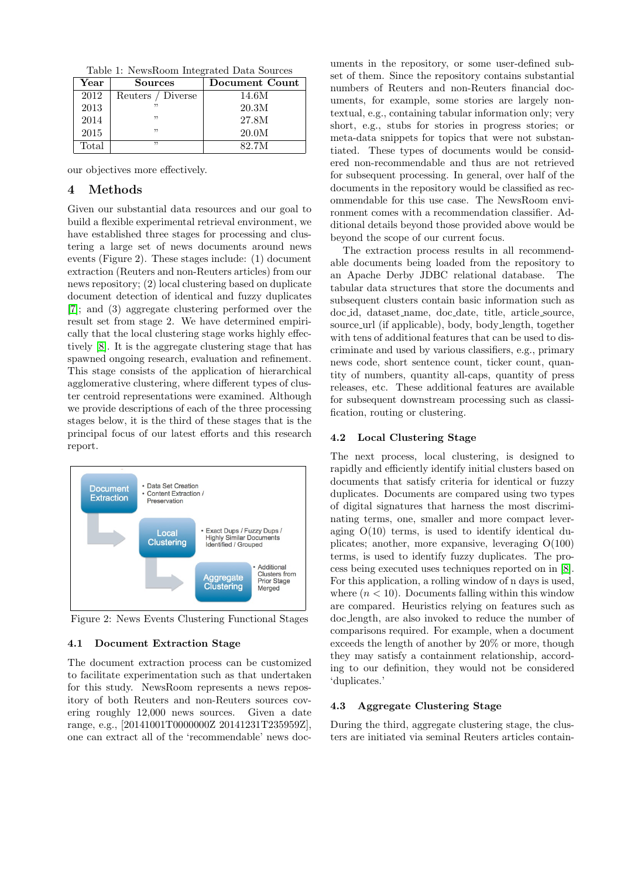Table 1: NewsRoom Integrated Data Sources

| $\operatorname{Year}$ | Sources           | Document Count |  |  |
|-----------------------|-------------------|----------------|--|--|
| 2012                  | Reuters / Diverse | 14.6M          |  |  |
| 2013                  |                   | 20.3M          |  |  |
| 2014                  | "                 | 27.8M          |  |  |
| 2015                  | "                 | 20.0M          |  |  |
| Total                 | ,,                | 82.7M          |  |  |

our objectives more effectively.

## 4 Methods

Given our substantial data resources and our goal to build a flexible experimental retrieval environment, we have established three stages for processing and clustering a large set of news documents around news events (Figure 2). These stages include: (1) document extraction (Reuters and non-Reuters articles) from our news repository; (2) local clustering based on duplicate document detection of identical and fuzzy duplicates [\[7\]](#page-5-11); and (3) aggregate clustering performed over the result set from stage 2. We have determined empirically that the local clustering stage works highly effectively [\[8\]](#page-5-10). It is the aggregate clustering stage that has spawned ongoing research, evaluation and refinement. This stage consists of the application of hierarchical agglomerative clustering, where different types of cluster centroid representations were examined. Although we provide descriptions of each of the three processing stages below, it is the third of these stages that is the principal focus of our latest efforts and this research report.



Figure 2: News Events Clustering Functional Stages

#### 4.1 Document Extraction Stage

The document extraction process can be customized to facilitate experimentation such as that undertaken for this study. NewsRoom represents a news repository of both Reuters and non-Reuters sources covering roughly 12,000 news sources. Given a date range, e.g., [20141001T0000000Z 20141231T235959Z], one can extract all of the 'recommendable' news doc-

uments in the repository, or some user-defined subset of them. Since the repository contains substantial numbers of Reuters and non-Reuters financial documents, for example, some stories are largely nontextual, e.g., containing tabular information only; very short, e.g., stubs for stories in progress stories; or meta-data snippets for topics that were not substantiated. These types of documents would be considered non-recommendable and thus are not retrieved for subsequent processing. In general, over half of the documents in the repository would be classified as recommendable for this use case. The NewsRoom environment comes with a recommendation classifier. Additional details beyond those provided above would be beyond the scope of our current focus.

The extraction process results in all recommendable documents being loaded from the repository to an Apache Derby JDBC relational database. The tabular data structures that store the documents and subsequent clusters contain basic information such as doc id, dataset name, doc date, title, article source, source url (if applicable), body, body length, together with tens of additional features that can be used to discriminate and used by various classifiers, e.g., primary news code, short sentence count, ticker count, quantity of numbers, quantity all-caps, quantity of press releases, etc. These additional features are available for subsequent downstream processing such as classification, routing or clustering.

#### 4.2 Local Clustering Stage

The next process, local clustering, is designed to rapidly and efficiently identify initial clusters based on documents that satisfy criteria for identical or fuzzy duplicates. Documents are compared using two types of digital signatures that harness the most discriminating terms, one, smaller and more compact leveraging  $O(10)$  terms, is used to identify identical duplicates; another, more expansive, leveraging O(100) terms, is used to identify fuzzy duplicates. The process being executed uses techniques reported on in [\[8\]](#page-5-10). For this application, a rolling window of n days is used, where  $(n < 10)$ . Documents falling within this window are compared. Heuristics relying on features such as doc length, are also invoked to reduce the number of comparisons required. For example, when a document exceeds the length of another by 20% or more, though they may satisfy a containment relationship, according to our definition, they would not be considered 'duplicates.'

#### 4.3 Aggregate Clustering Stage

During the third, aggregate clustering stage, the clusters are initiated via seminal Reuters articles contain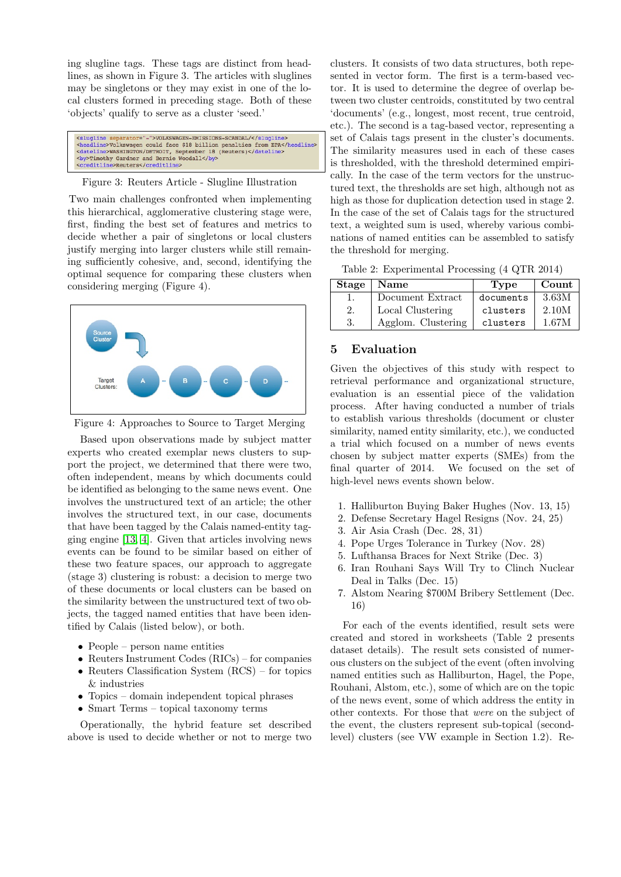ing slugline tags. These tags are distinct from headlines, as shown in Figure 3. The articles with sluglines may be singletons or they may exist in one of the local clusters formed in preceding stage. Both of these 'objects' qualify to serve as a cluster 'seed.'

<slugline s rator="-">VOLKSWAGEN-EMISSIONS-SCANDAL/</slugline> 

#### Figure 3: Reuters Article - Slugline Illustration

Two main challenges confronted when implementing this hierarchical, agglomerative clustering stage were, first, finding the best set of features and metrics to decide whether a pair of singletons or local clusters justify merging into larger clusters while still remaining sufficiently cohesive, and, second, identifying the optimal sequence for comparing these clusters when considering merging (Figure 4).



Figure 4: Approaches to Source to Target Merging

Based upon observations made by subject matter experts who created exemplar news clusters to support the project, we determined that there were two, often independent, means by which documents could be identified as belonging to the same news event. One involves the unstructured text of an article; the other involves the structured text, in our case, documents that have been tagged by the Calais named-entity tagging engine [\[13,](#page-5-12) [4\]](#page-5-13). Given that articles involving news events can be found to be similar based on either of these two feature spaces, our approach to aggregate (stage 3) clustering is robust: a decision to merge two of these documents or local clusters can be based on the similarity between the unstructured text of two objects, the tagged named entities that have been identified by Calais (listed below), or both.

- People person name entities
- Reuters Instrument Codes (RICs) for companies
- Reuters Classification System (RCS) for topics & industries
- Topics domain independent topical phrases
- Smart Terms topical taxonomy terms

Operationally, the hybrid feature set described above is used to decide whether or not to merge two

clusters. It consists of two data structures, both repesented in vector form. The first is a term-based vector. It is used to determine the degree of overlap between two cluster centroids, constituted by two central 'documents' (e.g., longest, most recent, true centroid, etc.). The second is a tag-based vector, representing a set of Calais tags present in the cluster's documents. The similarity measures used in each of these cases is thresholded, with the threshold determined empirically. In the case of the term vectors for the unstructured text, the thresholds are set high, although not as high as those for duplication detection used in stage 2. In the case of the set of Calais tags for the structured text, a weighted sum is used, whereby various combinations of named entities can be assembled to satisfy the threshold for merging.

Table 2: Experimental Processing (4 QTR 2014)

|    | Stage   Name       | Type      | Count |  |
|----|--------------------|-----------|-------|--|
|    | Document Extract   | documents | 3.63M |  |
| 2. | Local Clustering   | clusters  | 2.10M |  |
| 3. | Agglom. Clustering | clusters  | 1.67M |  |

#### 5 Evaluation

Given the objectives of this study with respect to retrieval performance and organizational structure, evaluation is an essential piece of the validation process. After having conducted a number of trials to establish various thresholds (document or cluster similarity, named entity similarity, etc.), we conducted a trial which focused on a number of news events chosen by subject matter experts (SMEs) from the final quarter of 2014. We focused on the set of high-level news events shown below.

- 1. Halliburton Buying Baker Hughes (Nov. 13, 15)
- 2. Defense Secretary Hagel Resigns (Nov. 24, 25)
- 3. Air Asia Crash (Dec. 28, 31)
- 4. Pope Urges Tolerance in Turkey (Nov. 28)
- 5. Lufthansa Braces for Next Strike (Dec. 3)
- 6. Iran Rouhani Says Will Try to Clinch Nuclear Deal in Talks (Dec. 15)
- 7. Alstom Nearing \$700M Bribery Settlement (Dec. 16)

For each of the events identified, result sets were created and stored in worksheets (Table 2 presents dataset details). The result sets consisted of numerous clusters on the subject of the event (often involving named entities such as Halliburton, Hagel, the Pope, Rouhani, Alstom, etc.), some of which are on the topic of the news event, some of which address the entity in other contexts. For those that were on the subject of the event, the clusters represent sub-topical (secondlevel) clusters (see VW example in Section 1.2). Re-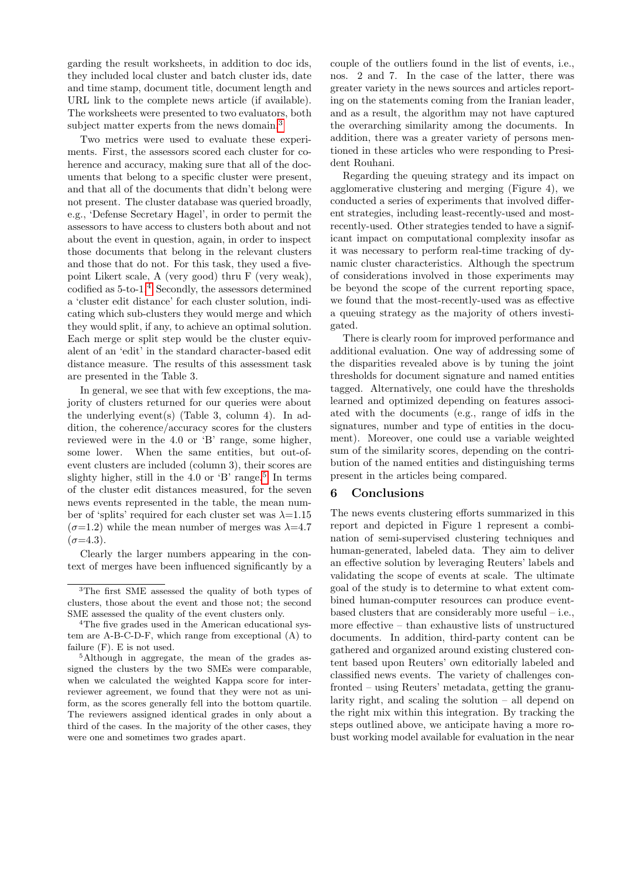garding the result worksheets, in addition to doc ids, they included local cluster and batch cluster ids, date and time stamp, document title, document length and URL link to the complete news article (if available). The worksheets were presented to two evaluators, both subject matter experts from the news domain.<sup>[3](#page-4-0)</sup>

Two metrics were used to evaluate these experiments. First, the assessors scored each cluster for coherence and accuracy, making sure that all of the documents that belong to a specific cluster were present, and that all of the documents that didn't belong were not present. The cluster database was queried broadly, e.g., 'Defense Secretary Hagel', in order to permit the assessors to have access to clusters both about and not about the event in question, again, in order to inspect those documents that belong in the relevant clusters and those that do not. For this task, they used a fivepoint Likert scale, A (very good) thru F (very weak), codified as  $5$ -to-1.<sup>[4](#page-4-1)</sup> Secondly, the assessors determined a 'cluster edit distance' for each cluster solution, indicating which sub-clusters they would merge and which they would split, if any, to achieve an optimal solution. Each merge or split step would be the cluster equivalent of an 'edit' in the standard character-based edit distance measure. The results of this assessment task are presented in the Table 3.

In general, we see that with few exceptions, the majority of clusters returned for our queries were about the underlying event(s) (Table 3, column 4). In addition, the coherence/accuracy scores for the clusters reviewed were in the 4.0 or 'B' range, some higher, some lower. When the same entities, but out-ofevent clusters are included (column 3), their scores are slighty higher, still in the 4.0 or  $B'$  range.<sup>[5](#page-4-2)</sup> In terms of the cluster edit distances measured, for the seven news events represented in the table, the mean number of 'splits' required for each cluster set was  $\lambda$ =1.15  $(\sigma=1.2)$  while the mean number of merges was  $\lambda=4.7$  $(\sigma=4.3).$ 

Clearly the larger numbers appearing in the context of merges have been influenced significantly by a

couple of the outliers found in the list of events, i.e., nos. 2 and 7. In the case of the latter, there was greater variety in the news sources and articles reporting on the statements coming from the Iranian leader, and as a result, the algorithm may not have captured the overarching similarity among the documents. In addition, there was a greater variety of persons mentioned in these articles who were responding to President Rouhani.

Regarding the queuing strategy and its impact on agglomerative clustering and merging (Figure 4), we conducted a series of experiments that involved different strategies, including least-recently-used and mostrecently-used. Other strategies tended to have a significant impact on computational complexity insofar as it was necessary to perform real-time tracking of dynamic cluster characteristics. Although the spectrum of considerations involved in those experiments may be beyond the scope of the current reporting space, we found that the most-recently-used was as effective a queuing strategy as the majority of others investigated.

There is clearly room for improved performance and additional evaluation. One way of addressing some of the disparities revealed above is by tuning the joint thresholds for document signature and named entities tagged. Alternatively, one could have the thresholds learned and optimized depending on features associated with the documents (e.g., range of idfs in the signatures, number and type of entities in the document). Moreover, one could use a variable weighted sum of the similarity scores, depending on the contribution of the named entities and distinguishing terms present in the articles being compared.

# 6 Conclusions

The news events clustering efforts summarized in this report and depicted in Figure 1 represent a combination of semi-supervised clustering techniques and human-generated, labeled data. They aim to deliver an effective solution by leveraging Reuters' labels and validating the scope of events at scale. The ultimate goal of the study is to determine to what extent combined human-computer resources can produce eventbased clusters that are considerably more useful – i.e., more effective – than exhaustive lists of unstructured documents. In addition, third-party content can be gathered and organized around existing clustered content based upon Reuters' own editorially labeled and classified news events. The variety of challenges confronted – using Reuters' metadata, getting the granularity right, and scaling the solution – all depend on the right mix within this integration. By tracking the steps outlined above, we anticipate having a more robust working model available for evaluation in the near

<span id="page-4-0"></span><sup>3</sup>The first SME assessed the quality of both types of clusters, those about the event and those not; the second SME assessed the quality of the event clusters only.

<span id="page-4-1"></span><sup>4</sup>The five grades used in the American educational system are A-B-C-D-F, which range from exceptional (A) to failure (F). E is not used.

<span id="page-4-2"></span><sup>5</sup>Although in aggregate, the mean of the grades assigned the clusters by the two SMEs were comparable, when we calculated the weighted Kappa score for interreviewer agreement, we found that they were not as uniform, as the scores generally fell into the bottom quartile. The reviewers assigned identical grades in only about a third of the cases. In the majority of the other cases, they were one and sometimes two grades apart.